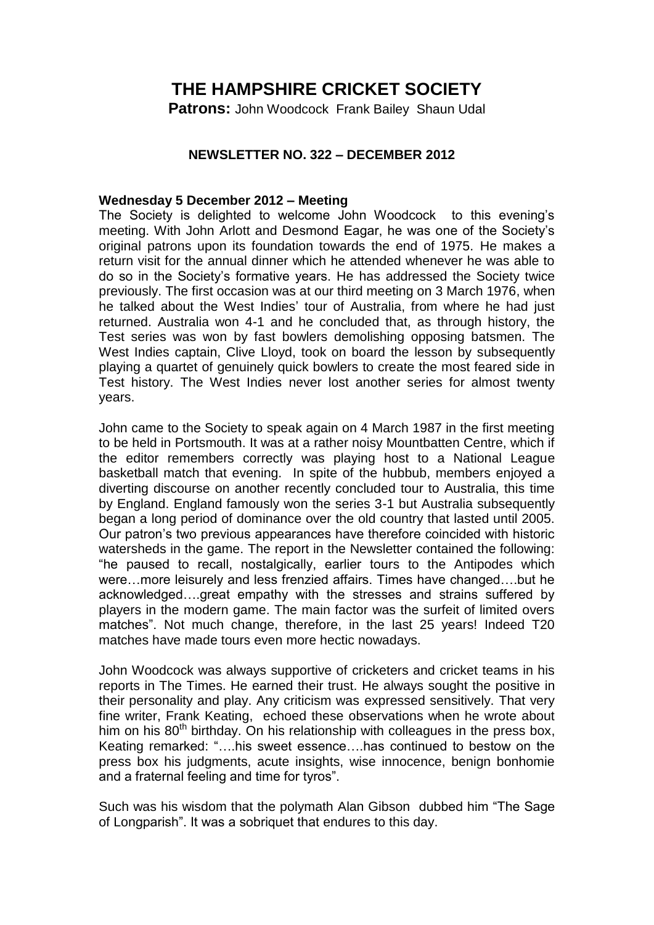## **THE HAMPSHIRE CRICKET SOCIETY**

**Patrons:** John Woodcock Frank Bailey Shaun Udal

## **NEWSLETTER NO. 322 – DECEMBER 2012**

## **Wednesday 5 December 2012 – Meeting**

The Society is delighted to welcome John Woodcock to this evening's meeting. With John Arlott and Desmond Eagar, he was one of the Society's original patrons upon its foundation towards the end of 1975. He makes a return visit for the annual dinner which he attended whenever he was able to do so in the Society's formative years. He has addressed the Society twice previously. The first occasion was at our third meeting on 3 March 1976, when he talked about the West Indies' tour of Australia, from where he had just returned. Australia won 4-1 and he concluded that, as through history, the Test series was won by fast bowlers demolishing opposing batsmen. The West Indies captain, Clive Lloyd, took on board the lesson by subsequently playing a quartet of genuinely quick bowlers to create the most feared side in Test history. The West Indies never lost another series for almost twenty years.

John came to the Society to speak again on 4 March 1987 in the first meeting to be held in Portsmouth. It was at a rather noisy Mountbatten Centre, which if the editor remembers correctly was playing host to a National League basketball match that evening. In spite of the hubbub, members enjoyed a diverting discourse on another recently concluded tour to Australia, this time by England. England famously won the series 3-1 but Australia subsequently began a long period of dominance over the old country that lasted until 2005. Our patron's two previous appearances have therefore coincided with historic watersheds in the game. The report in the Newsletter contained the following: "he paused to recall, nostalgically, earlier tours to the Antipodes which were…more leisurely and less frenzied affairs. Times have changed….but he acknowledged….great empathy with the stresses and strains suffered by players in the modern game. The main factor was the surfeit of limited overs matches". Not much change, therefore, in the last 25 years! Indeed T20 matches have made tours even more hectic nowadays.

John Woodcock was always supportive of cricketers and cricket teams in his reports in The Times. He earned their trust. He always sought the positive in their personality and play. Any criticism was expressed sensitively. That very fine writer, Frank Keating, echoed these observations when he wrote about him on his  $80<sup>th</sup>$  birthday. On his relationship with colleagues in the press box, Keating remarked: "….his sweet essence….has continued to bestow on the press box his judgments, acute insights, wise innocence, benign bonhomie and a fraternal feeling and time for tyros".

Such was his wisdom that the polymath Alan Gibson dubbed him "The Sage of Longparish". It was a sobriquet that endures to this day.